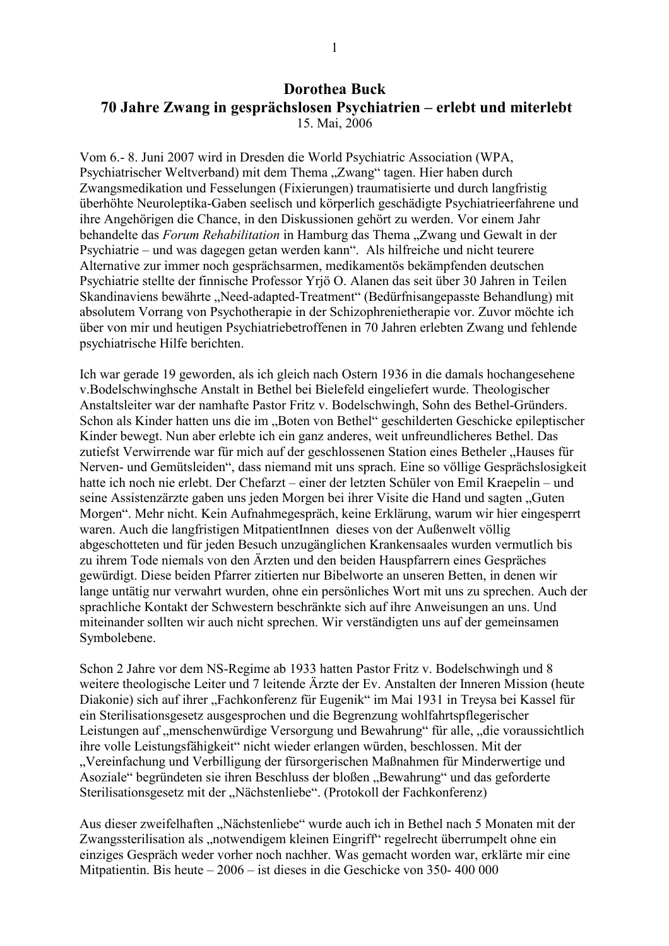## **Dorothea Buck** 70 Jahre Zwang in gesprächslosen Psychiatrien – erlebt und miterlebt 15. Mai, 2006

Vom 6.- 8. Juni 2007 wird in Dresden die World Psychiatric Association (WPA, Psychiatrischer Weltverband) mit dem Thema "Zwang" tagen. Hier haben durch Zwangsmedikation und Fesselungen (Fixierungen) traumatisierte und durch langfristig überhöhte Neuroleptika-Gaben seelisch und körperlich geschädigte Psychiatrieerfahrene und ihre Angehörigen die Chance, in den Diskussionen gehört zu werden. Vor einem Jahr behandelte das *Forum Rehabilitation* in Hamburg das Thema "Zwang und Gewalt in der Psychiatrie – und was dagegen getan werden kann". Als hilfreiche und nicht teurere Alternative zur immer noch gesprächsarmen, medikamentös bekämpfenden deutschen Psychiatrie stellte der finnische Professor Yrjö O. Alanen das seit über 30 Jahren in Teilen Skandinaviens bewährte "Need-adapted-Treatment" (Bedürfnisangepasste Behandlung) mit absolutem Vorrang von Psychotherapie in der Schizophrenietherapie vor. Zuvor möchte ich über von mir und heutigen Psychiatriebetroffenen in 70 Jahren erlebten Zwang und fehlende psychiatrische Hilfe berichten.

Ich war gerade 19 geworden, als ich gleich nach Ostern 1936 in die damals hochangesehene v. Bodelschwinghsche Anstalt in Bethel bei Bielefeld eingeliefert wurde. Theologischer Anstaltsleiter war der namhafte Pastor Fritz v. Bodelschwingh, Sohn des Bethel-Gründers. Schon als Kinder hatten uns die im "Boten von Bethel" geschilderten Geschicke epileptischer Kinder bewegt. Nun aber erlebte ich ein ganz anderes, weit unfreundlicheres Bethel. Das zutiefst Verwirrende war für mich auf der geschlossenen Station eines Betheler "Hauses für Nerven- und Gemütsleiden", dass niemand mit uns sprach. Eine so völlige Gesprächslosigkeit hatte ich noch nie erlebt. Der Chefarzt – einer der letzten Schüler von Emil Kraepelin – und seine Assistenzärzte gaben uns jeden Morgen bei ihrer Visite die Hand und sagten "Guten Morgen". Mehr nicht. Kein Aufnahmegespräch, keine Erklärung, warum wir hier eingesperrt waren. Auch die langfristigen MitpatientInnen dieses von der Außenwelt völlig abgeschotteten und für jeden Besuch unzugänglichen Krankensaales wurden vermutlich bis zu ihrem Tode niemals von den Ärzten und den beiden Hauspfarrern eines Gespräches gewürdigt. Diese beiden Pfarrer zitierten nur Bibelworte an unseren Betten, in denen wir lange untätig nur verwahrt wurden, ohne ein persönliches Wort mit uns zu sprechen. Auch der sprachliche Kontakt der Schwestern beschränkte sich auf ihre Anweisungen an uns. Und miteinander sollten wir auch nicht sprechen. Wir verständigten uns auf der gemeinsamen Symbolebene.

Schon 2 Jahre vor dem NS-Regime ab 1933 hatten Pastor Fritz v. Bodelschwingh und 8 weitere theologische Leiter und 7 leitende Ärzte der Ev. Anstalten der Inneren Mission (heute Diakonie) sich auf ihrer "Fachkonferenz für Eugenik" im Mai 1931 in Treysa bei Kassel für ein Sterilisationsgesetz ausgesprochen und die Begrenzung wohlfahrtspflegerischer Leistungen auf "menschenwürdige Versorgung und Bewahrung" für alle, "die voraussichtlich ihre volle Leistungsfähigkeit" nicht wieder erlangen würden, beschlossen. Mit der "Vereinfachung und Verbilligung der fürsorgerischen Maßnahmen für Minderwertige und Asoziale" begründeten sie ihren Beschluss der bloßen "Bewahrung" und das geforderte Sterilisationsgesetz mit der "Nächstenliebe". (Protokoll der Fachkonferenz)

Aus dieser zweifelhaften "Nächstenliebe" wurde auch ich in Bethel nach 5 Monaten mit der Zwangssterilisation als "notwendigem kleinen Eingriff" regelrecht überrumpelt ohne ein einziges Gespräch weder vorher noch nachher. Was gemacht worden war, erklärte mir eine Mitpatientin. Bis heute  $-2006 - i$ st dieses in die Geschicke von 350-400 000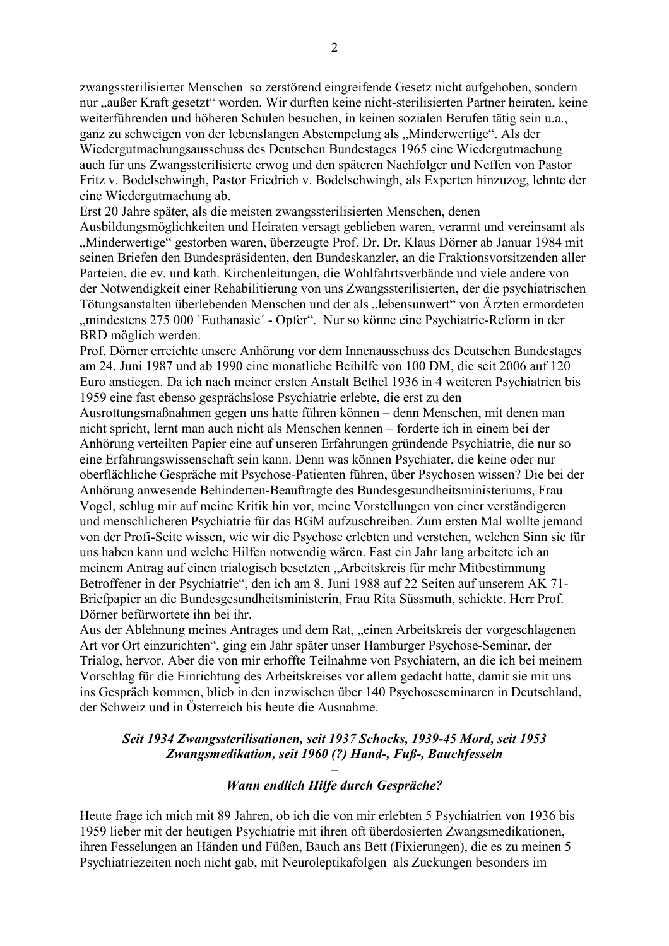zwangssterilisierter Menschen so zerstörend eingreifende Gesetz nicht aufgehoben, sondern nur "außer Kraft gesetzt" worden. Wir durften keine nicht-sterilisierten Partner heiraten, keine weiterführenden und höheren Schulen besuchen, in keinen sozialen Berufen tätig sein u.a., ganz zu schweigen von der lebenslangen Abstempelung als "Minderwertige". Als der Wiedergutmachungsausschuss des Deutschen Bundestages 1965 eine Wiedergutmachung auch für uns Zwangssterilisierte erwog und den späteren Nachfolger und Neffen von Pastor Fritz v. Bodelschwingh, Pastor Friedrich v. Bodelschwingh, als Experten hinzuzog, lehnte der eine Wiedergutmachung ab.

Erst 20 Jahre später, als die meisten zwangssterilisierten Menschen, denen Ausbildungsmöglichkeiten und Heiraten versagt geblieben waren, verarmt und vereinsamt als "Minderwertige" gestorben waren, überzeugte Prof. Dr. Dr. Klaus Dörner ab Januar 1984 mit seinen Briefen den Bundespräsidenten, den Bundeskanzler, an die Fraktionsvorsitzenden aller Parteien, die ev. und kath. Kirchenleitungen, die Wohlfahrtsverbände und viele andere von der Notwendigkeit einer Rehabilitierung von uns Zwangssterilisierten, der die psychiatrischen Tötungsanstalten überlebenden Menschen und der als "lebensunwert" von Ärzten ermordeten "mindestens 275 000 'Euthanasie' - Opfer". Nur so könne eine Psychiatrie-Reform in der BRD möglich werden.

Prof. Dörner erreichte unsere Anhörung vor dem Innenausschuss des Deutschen Bundestages am 24. Juni 1987 und ab 1990 eine monatliche Beihilfe von 100 DM, die seit 2006 auf 120 Euro anstiegen. Da ich nach meiner ersten Anstalt Bethel 1936 in 4 weiteren Psychiatrien bis 1959 eine fast ebenso gesprächslose Psychiatrie erlebte, die erst zu den

Ausrottungsmaßnahmen gegen uns hatte führen können – denn Menschen, mit denen man nicht spricht, lernt man auch nicht als Menschen kennen - forderte ich in einem bei der Anhörung verteilten Papier eine auf unseren Erfahrungen gründende Psychiatrie, die nur so eine Erfahrungswissenschaft sein kann. Denn was können Psychiater, die keine oder nur oberflächliche Gespräche mit Psychose-Patienten führen, über Psychosen wissen? Die bei der Anhörung anwesende Behinderten-Beauftragte des Bundesgesundheitsministeriums, Frau Vogel, schlug mir auf meine Kritik hin vor, meine Vorstellungen von einer verständigeren und menschlicheren Psychiatrie für das BGM aufzuschreiben. Zum ersten Mal wollte jemand von der Profi-Seite wissen, wie wir die Psychose erlebten und verstehen, welchen Sinn sie für uns haben kann und welche Hilfen notwendig wären. Fast ein Jahr lang arbeitete ich an meinem Antrag auf einen trialogisch besetzten "Arbeitskreis für mehr Mitbestimmung Betroffener in der Psychiatrie", den ich am 8. Juni 1988 auf 22 Seiten auf unserem AK 71-Briefpapier an die Bundesgesundheitsministerin, Frau Rita Süssmuth, schickte. Herr Prof. Dörner befürwortete ihn bei ihr.

Aus der Ablehnung meines Antrages und dem Rat, "einen Arbeitskreis der vorgeschlagenen Art vor Ort einzurichten", ging ein Jahr später unser Hamburger Psychose-Seminar, der Trialog, hervor. Aber die von mir erhoffte Teilnahme von Psychiatern, an die ich bei meinem Vorschlag für die Einrichtung des Arbeitskreises vor allem gedacht hatte, damit sie mit uns ins Gespräch kommen, blieb in den inzwischen über 140 Psychoseseminaren in Deutschland, der Schweiz und in Österreich bis heute die Ausnahme.

## Seit 1934 Zwangssterilisationen, seit 1937 Schocks, 1939-45 Mord, seit 1953 Zwangsmedikation, seit 1960 (?) Hand-, Fuß-, Bauchfesseln

## Wann endlich Hilfe durch Gespräche?

Heute frage ich mich mit 89 Jahren, ob ich die von mir erlebten 5 Psychiatrien von 1936 bis 1959 lieber mit der heutigen Psychiatrie mit ihren oft überdosierten Zwangsmedikationen. ihren Fesselungen an Händen und Füßen, Bauch ans Bett (Fixierungen), die es zu meinen 5 Psychiatriezeiten noch nicht gab, mit Neuroleptikafolgen als Zuckungen besonders im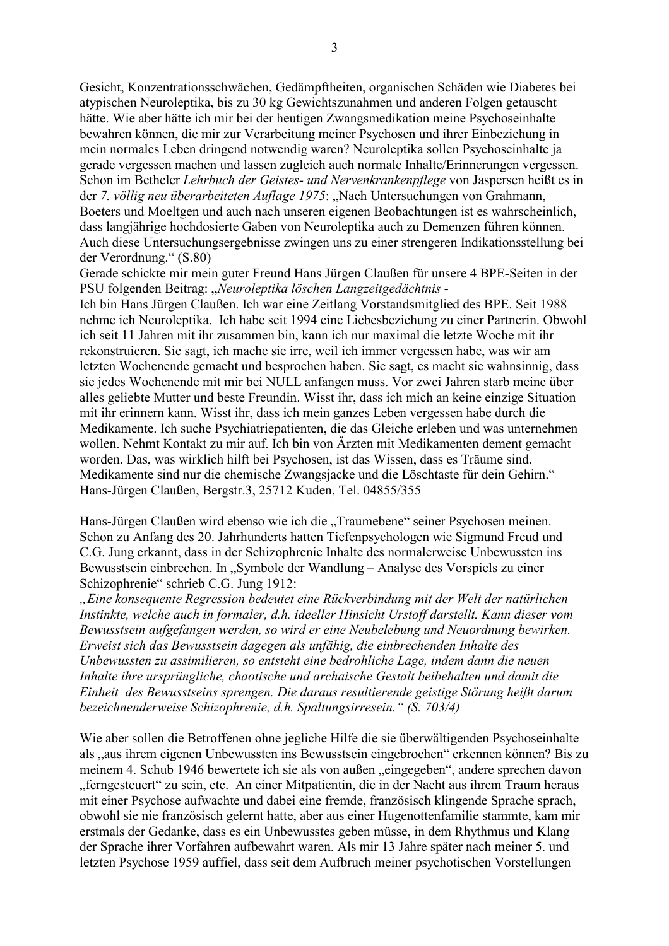Gesicht, Konzentrationsschwächen, Gedämpftheiten, organischen Schäden wie Diabetes bei atypischen Neuroleptika, bis zu 30 kg Gewichtszunahmen und anderen Folgen getauscht hätte. Wie aber hätte ich mir bei der heutigen Zwangsmedikation meine Psychoseinhalte bewahren können, die mir zur Verarbeitung meiner Psychosen und ihrer Einbeziehung in mein normales Leben dringend notwendig waren? Neuroleptika sollen Psychoseinhalte ja gerade vergessen machen und lassen zugleich auch normale Inhalte/Erinnerungen vergessen. Schon im Betheler Lehrbuch der Geistes- und Nervenkrankenpflege von Jaspersen heißt es in der 7. völlig neu überarbeiteten Auflage 1975: "Nach Untersuchungen von Grahmann, Boeters und Moeltgen und auch nach unseren eigenen Beobachtungen ist es wahrscheinlich, dass langjährige hochdosierte Gaben von Neuroleptika auch zu Demenzen führen können. Auch diese Untersuchungsergebnisse zwingen uns zu einer strengeren Indikationsstellung bei der Verordnung." (S.80)

Gerade schickte mir mein guter Freund Hans Jürgen Claußen für unsere 4 BPE-Seiten in der PSU folgenden Beitrag: "Neuroleptika löschen Langzeitgedächtnis -

Ich bin Hans Jürgen Claußen. Ich war eine Zeitlang Vorstandsmitglied des BPE. Seit 1988 nehme ich Neuroleptika. Ich habe seit 1994 eine Liebesbeziehung zu einer Partnerin. Obwohl ich seit 11 Jahren mit ihr zusammen bin, kann ich nur maximal die letzte Woche mit ihr rekonstruieren. Sie sagt, ich mache sie irre, weil ich immer vergessen habe, was wir am letzten Wochenende gemacht und besprochen haben. Sie sagt, es macht sie wahnsinnig, dass sie jedes Wochenende mit mir bei NULL anfangen muss. Vor zwei Jahren starb meine über alles geliebte Mutter und beste Freundin. Wisst ihr, dass ich mich an keine einzige Situation mit ihr erinnern kann. Wisst ihr, dass ich mein ganzes Leben vergessen habe durch die Medikamente. Ich suche Psychiatriepatienten, die das Gleiche erleben und was unternehmen wollen. Nehmt Kontakt zu mir auf. Ich bin von Ärzten mit Medikamenten dement gemacht worden. Das, was wirklich hilft bei Psychosen, ist das Wissen, dass es Träume sind. Medikamente sind nur die chemische Zwangsjacke und die Löschtaste für dein Gehirn." Hans-Jürgen Claußen, Bergstr.3, 25712 Kuden, Tel. 04855/355

Hans-Jürgen Claußen wird ebenso wie ich die "Traumebene" seiner Psychosen meinen. Schon zu Anfang des 20. Jahrhunderts hatten Tiefenpsychologen wie Sigmund Freud und C.G. Jung erkannt, dass in der Schizophrenie Inhalte des normalerweise Unbewussten ins Bewusstsein einbrechen. In "Symbole der Wandlung - Analyse des Vorspiels zu einer Schizophrenie" schrieb C.G. Jung 1912:

"Eine konsequente Regression bedeutet eine Rückverbindung mit der Welt der natürlichen Instinkte, welche auch in formaler, d.h. ideeller Hinsicht Urstoff darstellt. Kann dieser vom Bewusstsein aufgefangen werden, so wird er eine Neubelebung und Neuordnung bewirken. Erweist sich das Bewusstsein dagegen als unfähig, die einbrechenden Inhalte des Unbewussten zu assimilieren, so entsteht eine bedrohliche Lage, indem dann die neuen Inhalte ihre ursprüngliche, chaotische und archaische Gestalt beibehalten und damit die Einheit des Bewusstseins sprengen. Die daraus resultierende geistige Störung heißt darum bezeichnenderweise Schizophrenie, d.h. Spaltungsirresein." (S. 703/4)

Wie aber sollen die Betroffenen ohne jegliche Hilfe die sie überwältigenden Psychoseinhalte als "aus ihrem eigenen Unbewussten ins Bewusstsein eingebrochen" erkennen können? Bis zu meinem 4. Schub 1946 bewertete ich sie als von außen "eingegeben", andere sprechen davon "ferngesteuert" zu sein, etc. An einer Mitpatientin, die in der Nacht aus ihrem Traum heraus mit einer Psychose aufwachte und dabei eine fremde, französisch klingende Sprache sprach, obwohl sie nie französisch gelernt hatte, aber aus einer Hugenottenfamilie stammte, kam mir erstmals der Gedanke, dass es ein Unbewusstes geben müsse, in dem Rhythmus und Klang der Sprache ihrer Vorfahren aufbewahrt waren. Als mir 13 Jahre später nach meiner 5. und letzten Psychose 1959 auffiel, dass seit dem Aufbruch meiner psychotischen Vorstellungen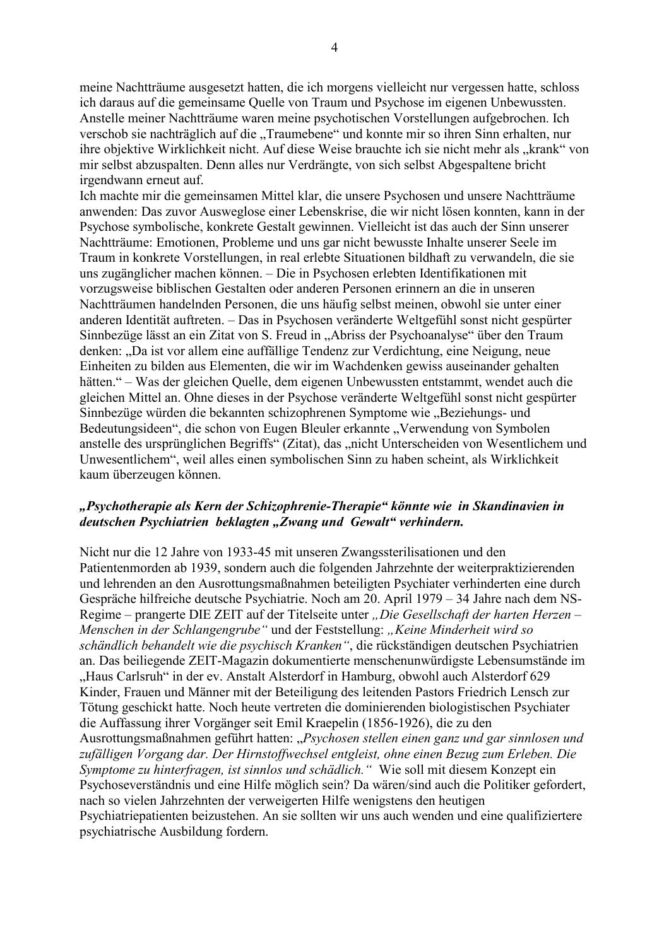meine Nachtträume ausgesetzt hatten, die ich morgens vielleicht nur vergessen hatte, schloss ich daraus auf die gemeinsame Quelle von Traum und Psychose im eigenen Unbewussten. Anstelle meiner Nachtträume waren meine psychotischen Vorstellungen aufgebrochen. Ich verschob sie nachträglich auf die "Traumebene" und konnte mir so ihren Sinn erhalten, nur ihre objektive Wirklichkeit nicht. Auf diese Weise brauchte ich sie nicht mehr als "krank" von mir selbst abzuspalten. Denn alles nur Verdrängte, von sich selbst Abgespaltene bricht irgendwann erneut auf.

Ich machte mir die gemeinsamen Mittel klar, die unsere Psychosen und unsere Nachtträume anwenden: Das zuvor Ausweglose einer Lebenskrise, die wir nicht lösen konnten, kann in der Psychose symbolische, konkrete Gestalt gewinnen. Vielleicht ist das auch der Sinn unserer Nachtträume: Emotionen. Probleme und uns gar nicht bewusste Inhalte unserer Seele im Traum in konkrete Vorstellungen, in real erlebte Situationen bildhaft zu verwandeln, die sie uns zugänglicher machen können. – Die in Psychosen erlebten Identifikationen mit vorzugsweise biblischen Gestalten oder anderen Personen erinnern an die in unseren Nachtträumen handelnden Personen, die uns häufig selbst meinen, obwohl sie unter einer anderen Identität auftreten. – Das in Psychosen veränderte Weltgefühl sonst nicht gespürter Sinnbezüge lässt an ein Zitat von S. Freud in "Abriss der Psychoanalyse" über den Traum denken: "Da ist vor allem eine auffällige Tendenz zur Verdichtung, eine Neigung, neue Einheiten zu bilden aus Elementen, die wir im Wachdenken gewiss auseinander gehalten hätten." – Was der gleichen Quelle, dem eigenen Unbewussten entstammt, wendet auch die gleichen Mittel an. Ohne dieses in der Psychose veränderte Weltgefühl sonst nicht gespürter Sinnbezüge würden die bekannten schizophrenen Symptome wie "Beziehungs- und Bedeutungsideen", die schon von Eugen Bleuler erkannte "Verwendung von Symbolen anstelle des ursprünglichen Begriffs" (Zitat), das "nicht Unterscheiden von Wesentlichem und Unwesentlichem", weil alles einen symbolischen Sinn zu haben scheint, als Wirklichkeit kaum überzeugen können.

## "Psychotherapie als Kern der Schizophrenie-Therapie" könnte wie in Skandinavien in deutschen Psychiatrien beklagten "Zwang und Gewalt" verhindern.

Nicht nur die 12 Jahre von 1933-45 mit unseren Zwangssterilisationen und den Patientenmorden ab 1939, sondern auch die folgenden Jahrzehnte der weiterpraktizierenden und lehrenden an den Ausrottungsmaßnahmen beteiligten Psychiater verhinderten eine durch Gespräche hilfreiche deutsche Psychiatrie. Noch am 20. April 1979 – 34 Jahre nach dem NS-Regime – prangerte DIE ZEIT auf der Titelseite unter "Die Gesellschaft der harten Herzen – Menschen in der Schlangengrube" und der Feststellung: "Keine Minderheit wird so schändlich behandelt wie die psychisch Kranken", die rückständigen deutschen Psychiatrien an. Das beiliegende ZEIT-Magazin dokumentierte menschenunwürdigste Lebensumstände im "Haus Carlsruh" in der ev. Anstalt Alsterdorf in Hamburg, obwohl auch Alsterdorf 629 Kinder, Frauen und Männer mit der Beteiligung des leitenden Pastors Friedrich Lensch zur Tötung geschickt hatte. Noch heute vertreten die dominierenden biologistischen Psychiater die Auffassung ihrer Vorgänger seit Emil Kraepelin (1856-1926), die zu den Ausrottungsmaßnahmen geführt hatten: "Psychosen stellen einen ganz und gar sinnlosen und zufälligen Vorgang dar. Der Hirnstoffwechsel entgleist, ohne einen Bezug zum Erleben. Die Symptome zu hinterfragen, ist sinnlos und schädlich." Wie soll mit diesem Konzept ein Psychoseverständnis und eine Hilfe möglich sein? Da wären/sind auch die Politiker gefordert, nach so vielen Jahrzehnten der verweigerten Hilfe wenigstens den heutigen Psychiatriepatienten beizustehen. An sie sollten wir uns auch wenden und eine qualifiziertere psychiatrische Ausbildung fordern.